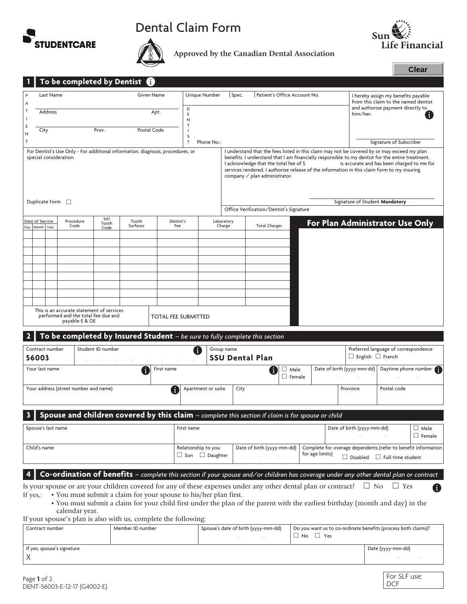





**Approved by the Canadian Dental Association**

|                                       |                      |                       |                                                       |                   | To be completed by Dentist $\bigoplus$                                         |                                                                                                      |            |                     |                                                                                                                                                                                     |                                                                                                                                       |                   |  |                            |                                                                      |                                                               |
|---------------------------------------|----------------------|-----------------------|-------------------------------------------------------|-------------------|--------------------------------------------------------------------------------|------------------------------------------------------------------------------------------------------|------------|---------------------|-------------------------------------------------------------------------------------------------------------------------------------------------------------------------------------|---------------------------------------------------------------------------------------------------------------------------------------|-------------------|--|----------------------------|----------------------------------------------------------------------|---------------------------------------------------------------|
|                                       |                      | Last Name             |                                                       |                   |                                                                                | Given Name                                                                                           |            | Unique Number       | Spec.                                                                                                                                                                               | Patient's Office Account No.                                                                                                          |                   |  |                            | I hereby assign my benefits payable                                  |                                                               |
| A                                     |                      |                       |                                                       |                   |                                                                                |                                                                                                      |            |                     |                                                                                                                                                                                     |                                                                                                                                       |                   |  |                            | from this claim to the named dentist                                 |                                                               |
| T                                     |                      | Address               |                                                       |                   |                                                                                | Apt.                                                                                                 | D<br>E     |                     |                                                                                                                                                                                     |                                                                                                                                       |                   |  | him/her.                   | and authorize payment directly to                                    |                                                               |
|                                       |                      |                       |                                                       |                   |                                                                                |                                                                                                      | N          |                     |                                                                                                                                                                                     |                                                                                                                                       |                   |  |                            |                                                                      |                                                               |
| Ε                                     | City                 |                       |                                                       | Prov.             |                                                                                | Postal Code                                                                                          |            |                     |                                                                                                                                                                                     |                                                                                                                                       |                   |  |                            |                                                                      |                                                               |
| N                                     |                      |                       |                                                       |                   |                                                                                |                                                                                                      | S          |                     |                                                                                                                                                                                     |                                                                                                                                       |                   |  |                            |                                                                      |                                                               |
| T                                     |                      |                       |                                                       |                   |                                                                                |                                                                                                      | Т          | Phone No.:          |                                                                                                                                                                                     |                                                                                                                                       |                   |  |                            | Signature of Subscriber                                              |                                                               |
|                                       |                      |                       |                                                       |                   | For Dentist's Use Only - For additional information, diagnosis, procedures, or |                                                                                                      |            |                     |                                                                                                                                                                                     | I understand that the fees listed in this claim may not be covered by or may exceed my plan                                           |                   |  |                            |                                                                      |                                                               |
|                                       |                      |                       | special consideration.                                |                   |                                                                                |                                                                                                      |            |                     |                                                                                                                                                                                     | benefits. I understand that I am financially responsible to my dentist for the entire treatment.                                      |                   |  |                            |                                                                      |                                                               |
|                                       |                      |                       |                                                       |                   |                                                                                |                                                                                                      |            |                     | I acknowledge that the total fee of \$<br>is accurate and has been charged to me for<br>services rendered. I authorize release of the information in this claim form to my insuring |                                                                                                                                       |                   |  |                            |                                                                      |                                                               |
|                                       |                      |                       |                                                       |                   |                                                                                |                                                                                                      |            |                     |                                                                                                                                                                                     | company $\angle$ plan administrator.                                                                                                  |                   |  |                            |                                                                      |                                                               |
|                                       |                      |                       |                                                       |                   |                                                                                |                                                                                                      |            |                     |                                                                                                                                                                                     |                                                                                                                                       |                   |  |                            |                                                                      |                                                               |
|                                       |                      |                       |                                                       |                   |                                                                                |                                                                                                      |            |                     |                                                                                                                                                                                     |                                                                                                                                       |                   |  |                            |                                                                      |                                                               |
|                                       |                      | Duplicate Form $\Box$ |                                                       |                   |                                                                                |                                                                                                      |            |                     |                                                                                                                                                                                     |                                                                                                                                       |                   |  |                            | Signature of Student Mandatory                                       |                                                               |
|                                       |                      |                       |                                                       |                   |                                                                                |                                                                                                      |            |                     | Office Verification/Dentist's Signature                                                                                                                                             |                                                                                                                                       |                   |  |                            |                                                                      |                                                               |
|                                       | Date of Service      |                       | Procedure                                             | Intl              | Tooth                                                                          |                                                                                                      | Dentist's  |                     | Laboratory<br>For Plan Administrator Use Only                                                                                                                                       |                                                                                                                                       |                   |  |                            |                                                                      |                                                               |
|                                       | Day Month Year       |                       | Code                                                  | Tooth<br>Code     | Surfaces                                                                       |                                                                                                      | Fee        |                     | Charge                                                                                                                                                                              | <b>Total Charges</b>                                                                                                                  |                   |  |                            |                                                                      |                                                               |
|                                       |                      |                       |                                                       |                   |                                                                                |                                                                                                      |            |                     |                                                                                                                                                                                     |                                                                                                                                       |                   |  |                            |                                                                      |                                                               |
|                                       |                      |                       |                                                       |                   |                                                                                |                                                                                                      |            |                     |                                                                                                                                                                                     |                                                                                                                                       |                   |  |                            |                                                                      |                                                               |
|                                       |                      |                       |                                                       |                   |                                                                                |                                                                                                      |            |                     |                                                                                                                                                                                     |                                                                                                                                       |                   |  |                            |                                                                      |                                                               |
|                                       |                      |                       |                                                       |                   |                                                                                |                                                                                                      |            |                     |                                                                                                                                                                                     |                                                                                                                                       |                   |  |                            |                                                                      |                                                               |
|                                       |                      |                       |                                                       |                   |                                                                                |                                                                                                      |            |                     |                                                                                                                                                                                     |                                                                                                                                       |                   |  |                            |                                                                      |                                                               |
|                                       |                      |                       |                                                       |                   |                                                                                |                                                                                                      |            |                     |                                                                                                                                                                                     |                                                                                                                                       |                   |  |                            |                                                                      |                                                               |
|                                       |                      |                       |                                                       |                   |                                                                                |                                                                                                      |            |                     |                                                                                                                                                                                     |                                                                                                                                       |                   |  |                            |                                                                      |                                                               |
|                                       |                      |                       |                                                       |                   |                                                                                |                                                                                                      |            |                     |                                                                                                                                                                                     |                                                                                                                                       |                   |  |                            |                                                                      |                                                               |
|                                       |                      |                       |                                                       |                   |                                                                                |                                                                                                      |            |                     |                                                                                                                                                                                     |                                                                                                                                       |                   |  |                            |                                                                      |                                                               |
|                                       |                      |                       | This is an accurate statement of services             |                   |                                                                                |                                                                                                      |            |                     |                                                                                                                                                                                     |                                                                                                                                       |                   |  |                            |                                                                      |                                                               |
|                                       |                      |                       | performed and the total fee due and<br>payable E & OE |                   |                                                                                | <b>TOTAL FEE SUBMITTED</b>                                                                           |            |                     |                                                                                                                                                                                     |                                                                                                                                       |                   |  |                            |                                                                      |                                                               |
|                                       |                      |                       |                                                       |                   |                                                                                |                                                                                                      |            |                     |                                                                                                                                                                                     |                                                                                                                                       |                   |  |                            |                                                                      |                                                               |
|                                       |                      |                       |                                                       |                   |                                                                                |                                                                                                      |            |                     |                                                                                                                                                                                     | To be completed by Insured Student - be sure to fully complete this section                                                           |                   |  |                            |                                                                      |                                                               |
|                                       |                      |                       |                                                       |                   |                                                                                |                                                                                                      |            |                     |                                                                                                                                                                                     |                                                                                                                                       |                   |  |                            |                                                                      |                                                               |
|                                       |                      | Contract number       |                                                       | Student ID number |                                                                                |                                                                                                      | n.         |                     | Group name                                                                                                                                                                          |                                                                                                                                       |                   |  |                            | Preferred language of correspondence<br>$\Box$ English $\Box$ French |                                                               |
|                                       | 56003                |                       |                                                       |                   |                                                                                |                                                                                                      |            |                     |                                                                                                                                                                                     | <b>SSU Dental Plan</b>                                                                                                                |                   |  |                            |                                                                      |                                                               |
|                                       |                      | Your last name        |                                                       |                   |                                                                                | First name                                                                                           |            |                     |                                                                                                                                                                                     |                                                                                                                                       | $\Box$ Male       |  | Date of birth (yyyy-mm-dd) |                                                                      | Daytime phone number                                          |
|                                       |                      |                       |                                                       |                   |                                                                                |                                                                                                      |            |                     |                                                                                                                                                                                     |                                                                                                                                       | $\Box$ Female     |  |                            |                                                                      |                                                               |
| Your address (street number and name) |                      |                       |                                                       |                   | Apartment or suite                                                             | City                                                                                                 |            |                     | Postal code<br>Province                                                                                                                                                             |                                                                                                                                       |                   |  |                            |                                                                      |                                                               |
|                                       |                      |                       |                                                       |                   |                                                                                |                                                                                                      |            |                     |                                                                                                                                                                                     |                                                                                                                                       |                   |  |                            |                                                                      |                                                               |
|                                       |                      |                       |                                                       |                   |                                                                                |                                                                                                      |            |                     |                                                                                                                                                                                     |                                                                                                                                       |                   |  |                            |                                                                      |                                                               |
|                                       |                      |                       |                                                       |                   |                                                                                |                                                                                                      |            |                     |                                                                                                                                                                                     | Spouse and children covered by this claim - complete this section if claim is for spouse or child                                     |                   |  |                            |                                                                      |                                                               |
|                                       |                      |                       |                                                       |                   |                                                                                |                                                                                                      |            |                     |                                                                                                                                                                                     |                                                                                                                                       |                   |  |                            |                                                                      |                                                               |
|                                       |                      | Spouse's last name    |                                                       |                   |                                                                                |                                                                                                      | First name |                     |                                                                                                                                                                                     |                                                                                                                                       |                   |  | Date of birth (yyyy-mm-dd) |                                                                      | $\Box$ Male                                                   |
|                                       |                      |                       |                                                       |                   |                                                                                |                                                                                                      |            |                     |                                                                                                                                                                                     |                                                                                                                                       |                   |  |                            |                                                                      | $\Box$ Female                                                 |
|                                       | Child's name         |                       |                                                       |                   |                                                                                |                                                                                                      |            | Relationship to you |                                                                                                                                                                                     | Date of birth (yyyy-mm-dd)                                                                                                            |                   |  |                            |                                                                      | Complete for overage dependents (refer to benefit information |
|                                       |                      |                       |                                                       |                   |                                                                                | $\Box$ Son $\Box$ Daughter                                                                           |            |                     | for age limits)                                                                                                                                                                     |                                                                                                                                       |                   |  |                            |                                                                      |                                                               |
|                                       |                      |                       |                                                       |                   |                                                                                |                                                                                                      |            |                     |                                                                                                                                                                                     |                                                                                                                                       |                   |  |                            | $\Box$ Disabled $\Box$ Full-time student                             |                                                               |
|                                       |                      |                       |                                                       |                   |                                                                                |                                                                                                      |            |                     |                                                                                                                                                                                     |                                                                                                                                       |                   |  |                            |                                                                      |                                                               |
|                                       |                      |                       |                                                       |                   |                                                                                |                                                                                                      |            |                     |                                                                                                                                                                                     | Co-ordination of benefits – complete this section if your spouse and/or children has coverage under any other dental plan or contract |                   |  |                            |                                                                      |                                                               |
|                                       |                      |                       |                                                       |                   |                                                                                |                                                                                                      |            |                     |                                                                                                                                                                                     | Is your spouse or are your children covered for any of these expenses under any other dental plan or contract?                        |                   |  | $\Box$ No                  | $\Box$ Yes                                                           | Ü                                                             |
| If yes,:                              |                      |                       |                                                       |                   | • You must submit a claim for your spouse to his/her plan first.               |                                                                                                      |            |                     |                                                                                                                                                                                     |                                                                                                                                       |                   |  |                            |                                                                      |                                                               |
|                                       |                      |                       |                                                       |                   |                                                                                |                                                                                                      |            |                     |                                                                                                                                                                                     | • You must submit a claim for your child first under the plan of the parent with the earliest birthday (month and day) in the         |                   |  |                            |                                                                      |                                                               |
|                                       |                      |                       | calendar year.                                        |                   |                                                                                |                                                                                                      |            |                     |                                                                                                                                                                                     |                                                                                                                                       |                   |  |                            |                                                                      |                                                               |
|                                       |                      |                       |                                                       |                   | If your spouse's plan is also with us, complete the following:                 |                                                                                                      |            |                     |                                                                                                                                                                                     |                                                                                                                                       |                   |  |                            |                                                                      |                                                               |
| Contract number<br>Member ID number   |                      |                       |                                                       |                   |                                                                                | Spouse's date of birth (yyyy-mm-dd)<br>Do you want us to co-ordinate benefits (process both claims)? |            |                     |                                                                                                                                                                                     |                                                                                                                                       |                   |  |                            |                                                                      |                                                               |
|                                       | $\Box$ No $\Box$ Yes |                       |                                                       |                   |                                                                                |                                                                                                      |            |                     |                                                                                                                                                                                     |                                                                                                                                       |                   |  |                            |                                                                      |                                                               |
|                                       |                      |                       |                                                       |                   |                                                                                |                                                                                                      |            |                     |                                                                                                                                                                                     |                                                                                                                                       |                   |  |                            |                                                                      |                                                               |
| If yes, spouse's signature            |                      |                       |                                                       |                   |                                                                                |                                                                                                      |            |                     |                                                                                                                                                                                     |                                                                                                                                       | Date (yyyy-mm-dd) |  |                            |                                                                      |                                                               |
| X                                     |                      |                       |                                                       |                   |                                                                                |                                                                                                      |            |                     |                                                                                                                                                                                     |                                                                                                                                       |                   |  |                            |                                                                      |                                                               |
|                                       |                      |                       |                                                       |                   |                                                                                |                                                                                                      |            |                     |                                                                                                                                                                                     |                                                                                                                                       |                   |  |                            |                                                                      |                                                               |
|                                       | Page 1 of 2          |                       |                                                       |                   |                                                                                |                                                                                                      |            |                     |                                                                                                                                                                                     |                                                                                                                                       |                   |  |                            | For SLF use:                                                         |                                                               |
|                                       |                      |                       | DENT-56003-F-12-17 (G4002-F)                          |                   |                                                                                |                                                                                                      |            |                     |                                                                                                                                                                                     |                                                                                                                                       |                   |  |                            | <b>DCF</b>                                                           |                                                               |